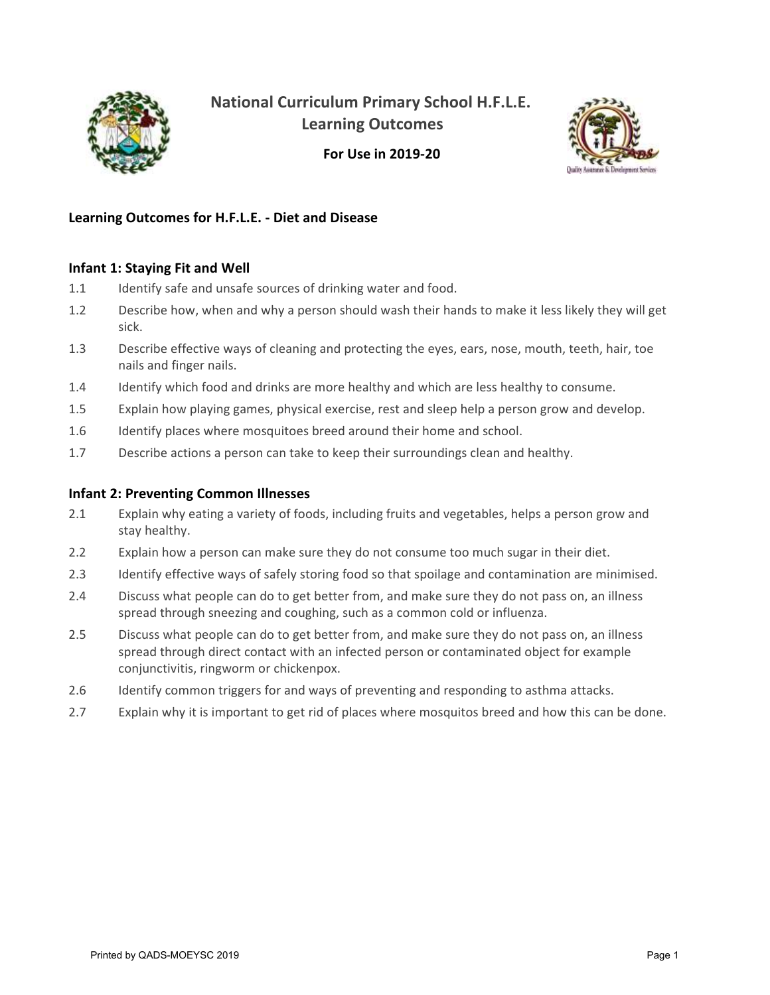

**National Curriculum Primary School H.F.L.E. Learning Outcomes**



**For Use in 2019-20**

## **Learning Outcomes for H.F.L.E. - Diet and Disease**

### **Infant 1: Staying Fit and Well**

- 1.1 Identify safe and unsafe sources of drinking water and food.
- 1.2 Describe how, when and why a person should wash their hands to make it less likely they will get sick.
- 1.3 Describe effective ways of cleaning and protecting the eyes, ears, nose, mouth, teeth, hair, toe nails and finger nails.
- 1.4 Identify which food and drinks are more healthy and which are less healthy to consume.
- 1.5 Explain how playing games, physical exercise, rest and sleep help a person grow and develop.
- 1.6 Identify places where mosquitoes breed around their home and school.
- 1.7 Describe actions a person can take to keep their surroundings clean and healthy.

#### **Infant 2: Preventing Common Illnesses**

- 2.1 Explain why eating a variety of foods, including fruits and vegetables, helps a person grow and stay healthy.
- 2.2 Explain how a person can make sure they do not consume too much sugar in their diet.
- 2.3 Identify effective ways of safely storing food so that spoilage and contamination are minimised.
- 2.4 Discuss what people can do to get better from, and make sure they do not pass on, an illness spread through sneezing and coughing, such as a common cold or influenza.
- 2.5 Discuss what people can do to get better from, and make sure they do not pass on, an illness spread through direct contact with an infected person or contaminated object for example conjunctivitis, ringworm or chickenpox.
- 2.6 Identify common triggers for and ways of preventing and responding to asthma attacks.
- 2.7 Explain why it is important to get rid of places where mosquitos breed and how this can be done.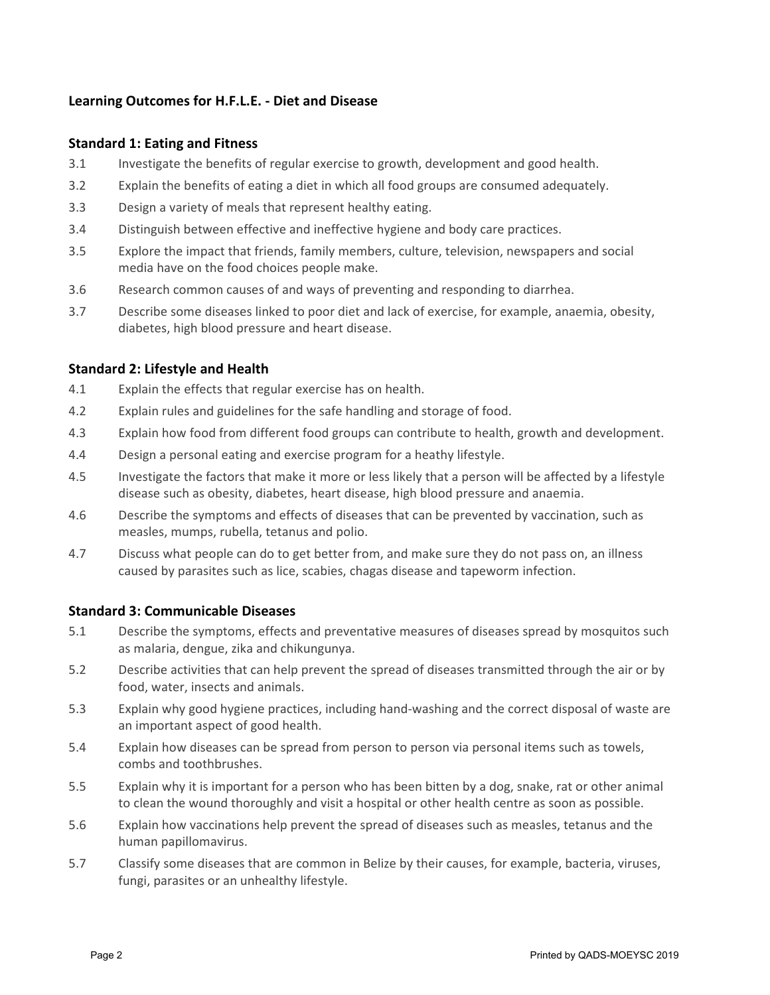## **Learning Outcomes for H.F.L.E. - Diet and Disease**

#### **Standard 1: Eating and Fitness**

- 3.1 Investigate the benefits of regular exercise to growth, development and good health.
- 3.2 Explain the benefits of eating a diet in which all food groups are consumed adequately.
- 3.3 Design a variety of meals that represent healthy eating.
- 3.4 Distinguish between effective and ineffective hygiene and body care practices.
- 3.5 Explore the impact that friends, family members, culture, television, newspapers and social media have on the food choices people make.
- 3.6 Research common causes of and ways of preventing and responding to diarrhea.
- 3.7 Describe some diseases linked to poor diet and lack of exercise, for example, anaemia, obesity, diabetes, high blood pressure and heart disease.

### **Standard 2: Lifestyle and Health**

- 4.1 Explain the effects that regular exercise has on health.
- 4.2 Explain rules and guidelines for the safe handling and storage of food.
- 4.3 Explain how food from different food groups can contribute to health, growth and development.
- 4.4 Design a personal eating and exercise program for a heathy lifestyle.
- 4.5 Investigate the factors that make it more or less likely that a person will be affected by a lifestyle disease such as obesity, diabetes, heart disease, high blood pressure and anaemia.
- 4.6 Describe the symptoms and effects of diseases that can be prevented by vaccination, such as measles, mumps, rubella, tetanus and polio.
- 4.7 Discuss what people can do to get better from, and make sure they do not pass on, an illness caused by parasites such as lice, scabies, chagas disease and tapeworm infection.

#### **Standard 3: Communicable Diseases**

- 5.1 Describe the symptoms, effects and preventative measures of diseases spread by mosquitos such as malaria, dengue, zika and chikungunya.
- 5.2 Describe activities that can help prevent the spread of diseases transmitted through the air or by food, water, insects and animals.
- 5.3 Explain why good hygiene practices, including hand-washing and the correct disposal of waste are an important aspect of good health.
- 5.4 Explain how diseases can be spread from person to person via personal items such as towels, combs and toothbrushes.
- 5.5 Explain why it is important for a person who has been bitten by a dog, snake, rat or other animal to clean the wound thoroughly and visit a hospital or other health centre as soon as possible.
- 5.6 Explain how vaccinations help prevent the spread of diseases such as measles, tetanus and the human papillomavirus.
- 5.7 Classify some diseases that are common in Belize by their causes, for example, bacteria, viruses, fungi, parasites or an unhealthy lifestyle.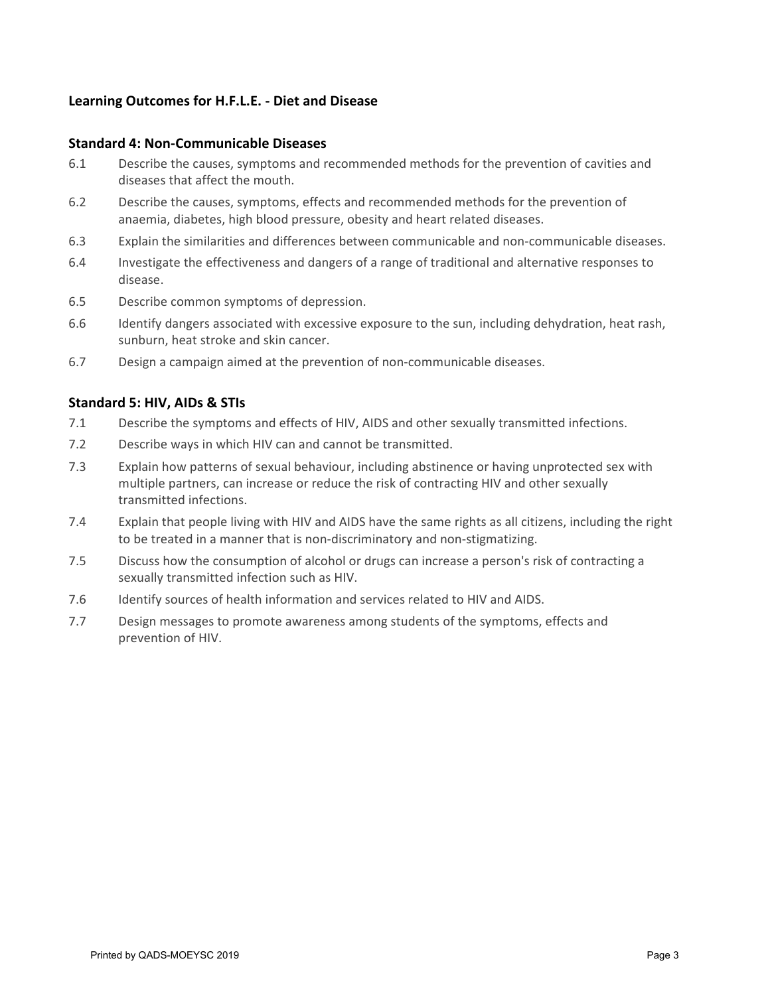## **Learning Outcomes for H.F.L.E. - Diet and Disease**

#### **Standard 4: Non-Communicable Diseases**

- 6.1 Describe the causes, symptoms and recommended methods for the prevention of cavities and diseases that affect the mouth.
- 6.2 Describe the causes, symptoms, effects and recommended methods for the prevention of anaemia, diabetes, high blood pressure, obesity and heart related diseases.
- 6.3 Explain the similarities and differences between communicable and non-communicable diseases.
- 6.4 Investigate the effectiveness and dangers of a range of traditional and alternative responses to disease.
- 6.5 Describe common symptoms of depression.
- 6.6 Identify dangers associated with excessive exposure to the sun, including dehydration, heat rash, sunburn, heat stroke and skin cancer.
- 6.7 Design a campaign aimed at the prevention of non-communicable diseases.

### **Standard 5: HIV, AIDs & STIs**

- 7.1 Describe the symptoms and effects of HIV, AIDS and other sexually transmitted infections.
- 7.2 Describe ways in which HIV can and cannot be transmitted.
- 7.3 Explain how patterns of sexual behaviour, including abstinence or having unprotected sex with multiple partners, can increase or reduce the risk of contracting HIV and other sexually transmitted infections.
- 7.4 Explain that people living with HIV and AIDS have the same rights as all citizens, including the right to be treated in a manner that is non-discriminatory and non-stigmatizing.
- 7.5 Discuss how the consumption of alcohol or drugs can increase a person's risk of contracting a sexually transmitted infection such as HIV.
- 7.6 Identify sources of health information and services related to HIV and AIDS.
- 7.7 Design messages to promote awareness among students of the symptoms, effects and prevention of HIV.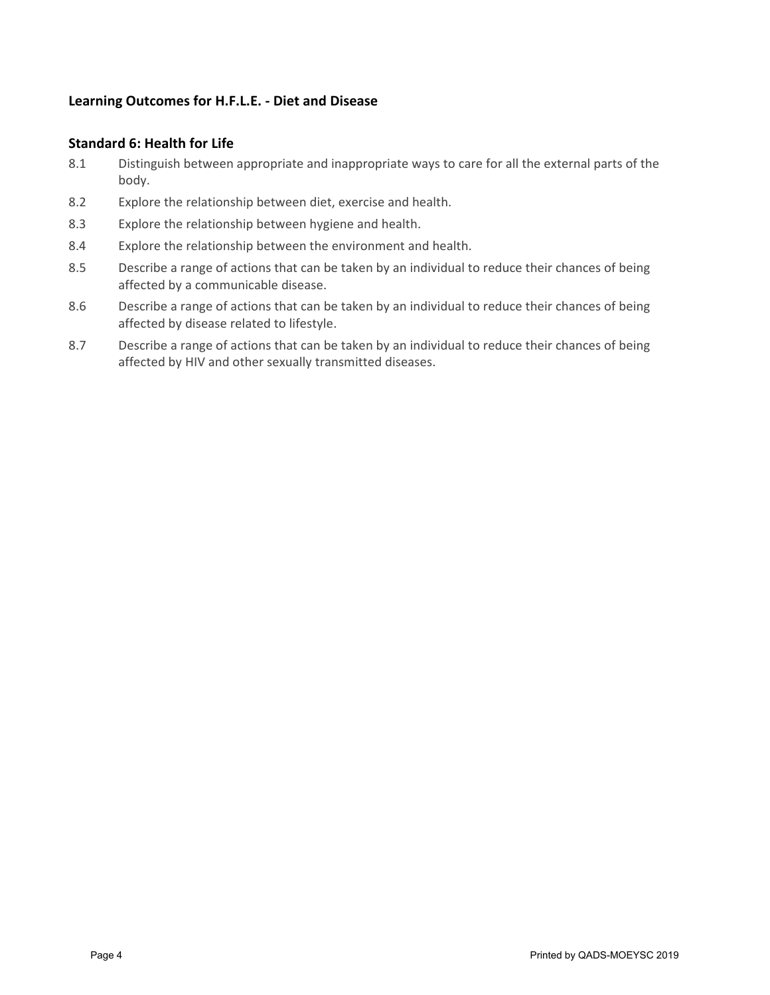# **Learning Outcomes for H.F.L.E. - Diet and Disease**

### **Standard 6: Health for Life**

- 8.1 Distinguish between appropriate and inappropriate ways to care for all the external parts of the body.
- 8.2 Explore the relationship between diet, exercise and health.
- 8.3 Explore the relationship between hygiene and health.
- 8.4 Explore the relationship between the environment and health.
- 8.5 Describe a range of actions that can be taken by an individual to reduce their chances of being affected by a communicable disease.
- 8.6 Describe a range of actions that can be taken by an individual to reduce their chances of being affected by disease related to lifestyle.
- 8.7 Describe a range of actions that can be taken by an individual to reduce their chances of being affected by HIV and other sexually transmitted diseases.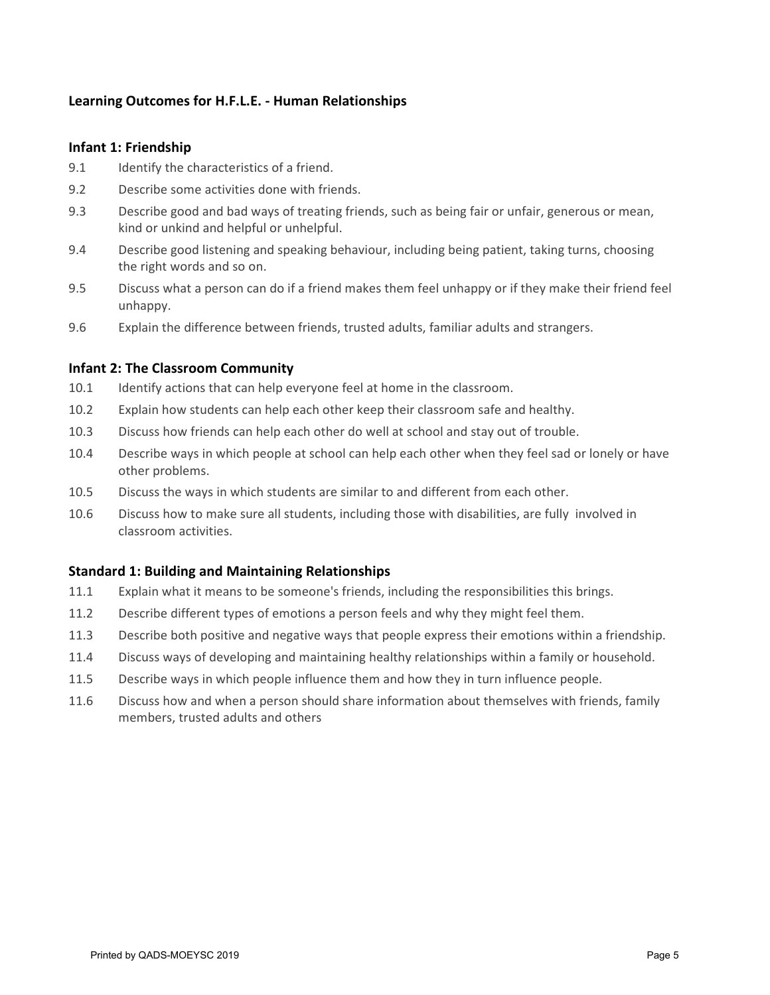# **Learning Outcomes for H.F.L.E. - Human Relationships**

#### **Infant 1: Friendship**

- 9.1 Identify the characteristics of a friend.
- 9.2 Describe some activities done with friends.
- 9.3 Describe good and bad ways of treating friends, such as being fair or unfair, generous or mean, kind or unkind and helpful or unhelpful.
- 9.4 Describe good listening and speaking behaviour, including being patient, taking turns, choosing the right words and so on.
- 9.5 Discuss what a person can do if a friend makes them feel unhappy or if they make their friend feel unhappy.
- 9.6 Explain the difference between friends, trusted adults, familiar adults and strangers.

## **Infant 2: The Classroom Community**

- 10.1 Identify actions that can help everyone feel at home in the classroom.
- 10.2 Explain how students can help each other keep their classroom safe and healthy.
- 10.3 Discuss how friends can help each other do well at school and stay out of trouble.
- 10.4 Describe ways in which people at school can help each other when they feel sad or lonely or have other problems.
- 10.5 Discuss the ways in which students are similar to and different from each other.
- 10.6 Discuss how to make sure all students, including those with disabilities, are fully involved in classroom activities.

## **Standard 1: Building and Maintaining Relationships**

- 11.1 Explain what it means to be someone's friends, including the responsibilities this brings.
- 11.2 Describe different types of emotions a person feels and why they might feel them.
- 11.3 Describe both positive and negative ways that people express their emotions within a friendship.
- 11.4 Discuss ways of developing and maintaining healthy relationships within a family or household.
- 11.5 Describe ways in which people influence them and how they in turn influence people.
- 11.6 Discuss how and when a person should share information about themselves with friends, family members, trusted adults and others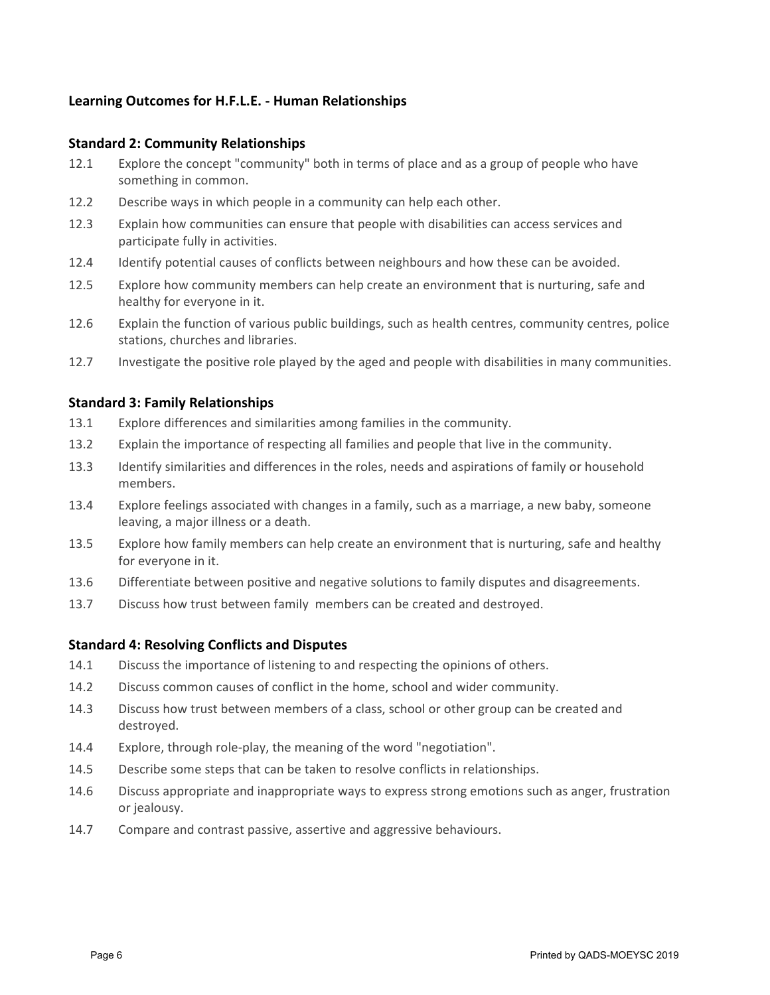# **Learning Outcomes for H.F.L.E. - Human Relationships**

### **Standard 2: Community Relationships**

- 12.1 Explore the concept "community" both in terms of place and as a group of people who have something in common.
- 12.2 Describe ways in which people in a community can help each other.
- 12.3 Explain how communities can ensure that people with disabilities can access services and participate fully in activities.
- 12.4 Identify potential causes of conflicts between neighbours and how these can be avoided.
- 12.5 Explore how community members can help create an environment that is nurturing, safe and healthy for everyone in it.
- 12.6 Explain the function of various public buildings, such as health centres, community centres, police stations, churches and libraries.
- 12.7 Investigate the positive role played by the aged and people with disabilities in many communities.

### **Standard 3: Family Relationships**

- 13.1 Explore differences and similarities among families in the community.
- 13.2 Explain the importance of respecting all families and people that live in the community.
- 13.3 Identify similarities and differences in the roles, needs and aspirations of family or household members.
- 13.4 Explore feelings associated with changes in a family, such as a marriage, a new baby, someone leaving, a major illness or a death.
- 13.5 Explore how family members can help create an environment that is nurturing, safe and healthy for everyone in it.
- 13.6 Differentiate between positive and negative solutions to family disputes and disagreements.
- 13.7 Discuss how trust between family members can be created and destroyed.

#### **Standard 4: Resolving Conflicts and Disputes**

- 14.1 Discuss the importance of listening to and respecting the opinions of others.
- 14.2 Discuss common causes of conflict in the home, school and wider community.
- 14.3 Discuss how trust between members of a class, school or other group can be created and destroyed.
- 14.4 Explore, through role-play, the meaning of the word "negotiation".
- 14.5 Describe some steps that can be taken to resolve conflicts in relationships.
- 14.6 Discuss appropriate and inappropriate ways to express strong emotions such as anger, frustration or jealousy.
- 14.7 Compare and contrast passive, assertive and aggressive behaviours.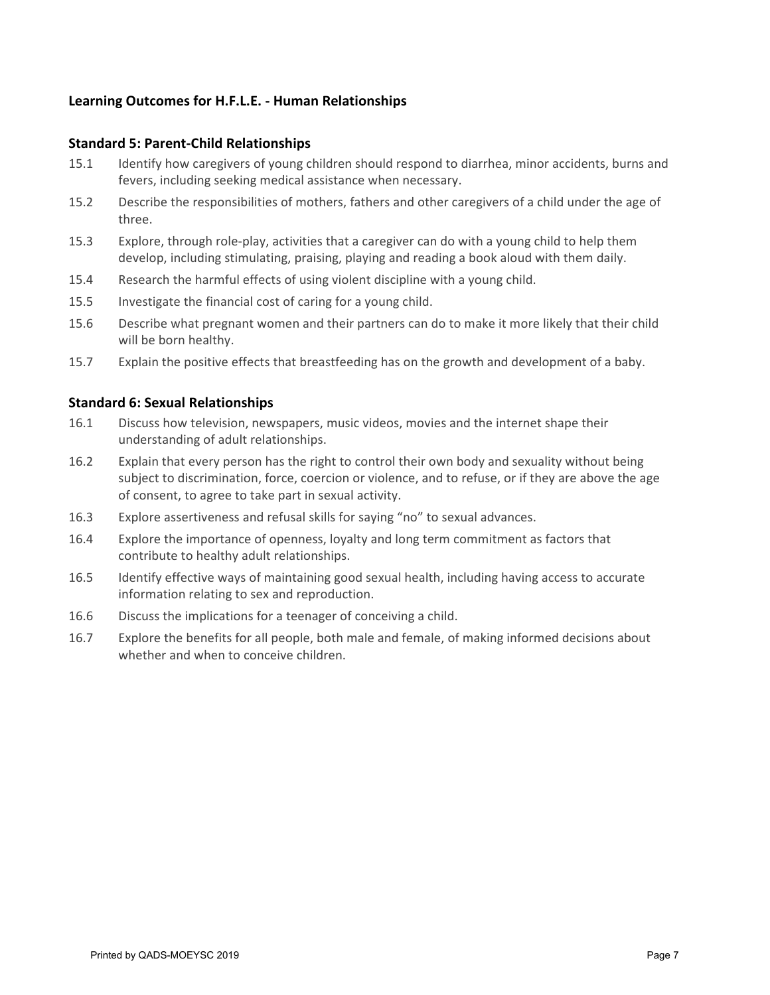# **Learning Outcomes for H.F.L.E. - Human Relationships**

#### **Standard 5: Parent-Child Relationships**

- 15.1 Identify how caregivers of young children should respond to diarrhea, minor accidents, burns and fevers, including seeking medical assistance when necessary.
- 15.2 Describe the responsibilities of mothers, fathers and other caregivers of a child under the age of three.
- 15.3 Explore, through role-play, activities that a caregiver can do with a young child to help them develop, including stimulating, praising, playing and reading a book aloud with them daily.
- 15.4 Research the harmful effects of using violent discipline with a young child.
- 15.5 Investigate the financial cost of caring for a young child.
- 15.6 Describe what pregnant women and their partners can do to make it more likely that their child will be born healthy.
- 15.7 Explain the positive effects that breastfeeding has on the growth and development of a baby.

#### **Standard 6: Sexual Relationships**

- 16.1 Discuss how television, newspapers, music videos, movies and the internet shape their understanding of adult relationships.
- 16.2 Explain that every person has the right to control their own body and sexuality without being subject to discrimination, force, coercion or violence, and to refuse, or if they are above the age of consent, to agree to take part in sexual activity.
- 16.3 Explore assertiveness and refusal skills for saying "no" to sexual advances.
- 16.4 Explore the importance of openness, loyalty and long term commitment as factors that contribute to healthy adult relationships.
- 16.5 Identify effective ways of maintaining good sexual health, including having access to accurate information relating to sex and reproduction.
- 16.6 Discuss the implications for a teenager of conceiving a child.
- 16.7 Explore the benefits for all people, both male and female, of making informed decisions about whether and when to conceive children.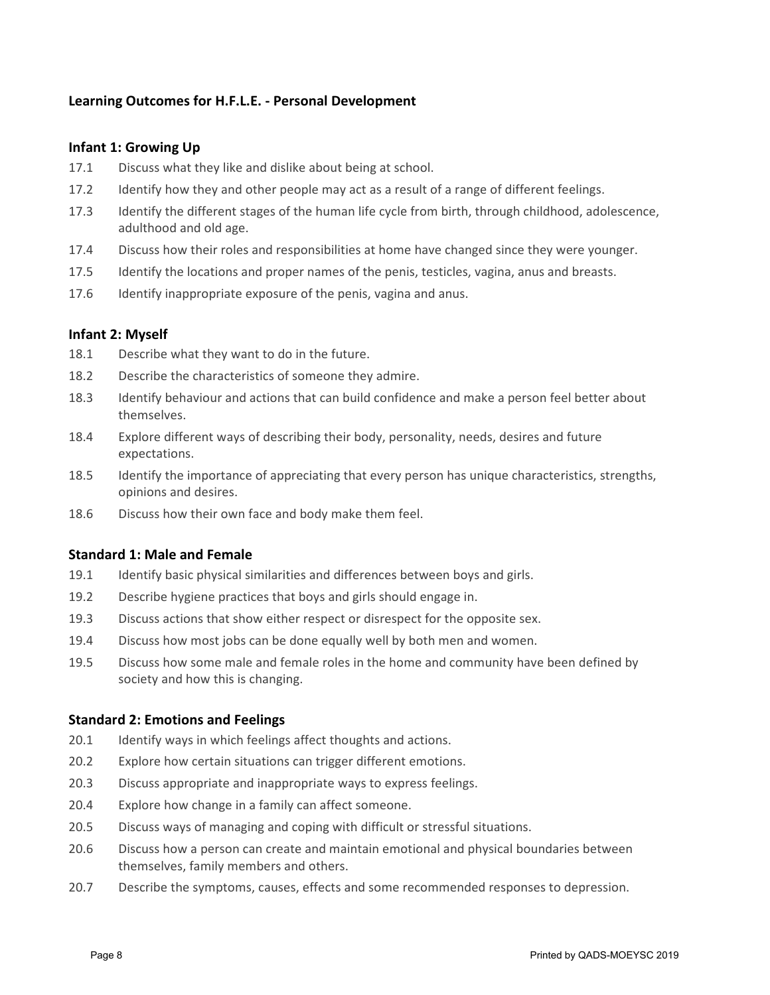# **Learning Outcomes for H.F.L.E. - Personal Development**

### **Infant 1: Growing Up**

- 17.1 Discuss what they like and dislike about being at school.
- 17.2 Identify how they and other people may act as a result of a range of different feelings.
- 17.3 Identify the different stages of the human life cycle from birth, through childhood, adolescence, adulthood and old age.
- 17.4 Discuss how their roles and responsibilities at home have changed since they were younger.
- 17.5 Identify the locations and proper names of the penis, testicles, vagina, anus and breasts.
- 17.6 Identify inappropriate exposure of the penis, vagina and anus.

#### **Infant 2: Myself**

- 18.1 Describe what they want to do in the future.
- 18.2 Describe the characteristics of someone they admire.
- 18.3 Identify behaviour and actions that can build confidence and make a person feel better about themselves.
- 18.4 Explore different ways of describing their body, personality, needs, desires and future expectations.
- 18.5 Identify the importance of appreciating that every person has unique characteristics, strengths, opinions and desires.
- 18.6 Discuss how their own face and body make them feel.

#### **Standard 1: Male and Female**

- 19.1 Identify basic physical similarities and differences between boys and girls.
- 19.2 Describe hygiene practices that boys and girls should engage in.
- 19.3 Discuss actions that show either respect or disrespect for the opposite sex.
- 19.4 Discuss how most jobs can be done equally well by both men and women.
- 19.5 Discuss how some male and female roles in the home and community have been defined by society and how this is changing.

#### **Standard 2: Emotions and Feelings**

- 20.1 Identify ways in which feelings affect thoughts and actions.
- 20.2 Explore how certain situations can trigger different emotions.
- 20.3 Discuss appropriate and inappropriate ways to express feelings.
- 20.4 Explore how change in a family can affect someone.
- 20.5 Discuss ways of managing and coping with difficult or stressful situations.
- 20.6 Discuss how a person can create and maintain emotional and physical boundaries between themselves, family members and others.
- 20.7 Describe the symptoms, causes, effects and some recommended responses to depression.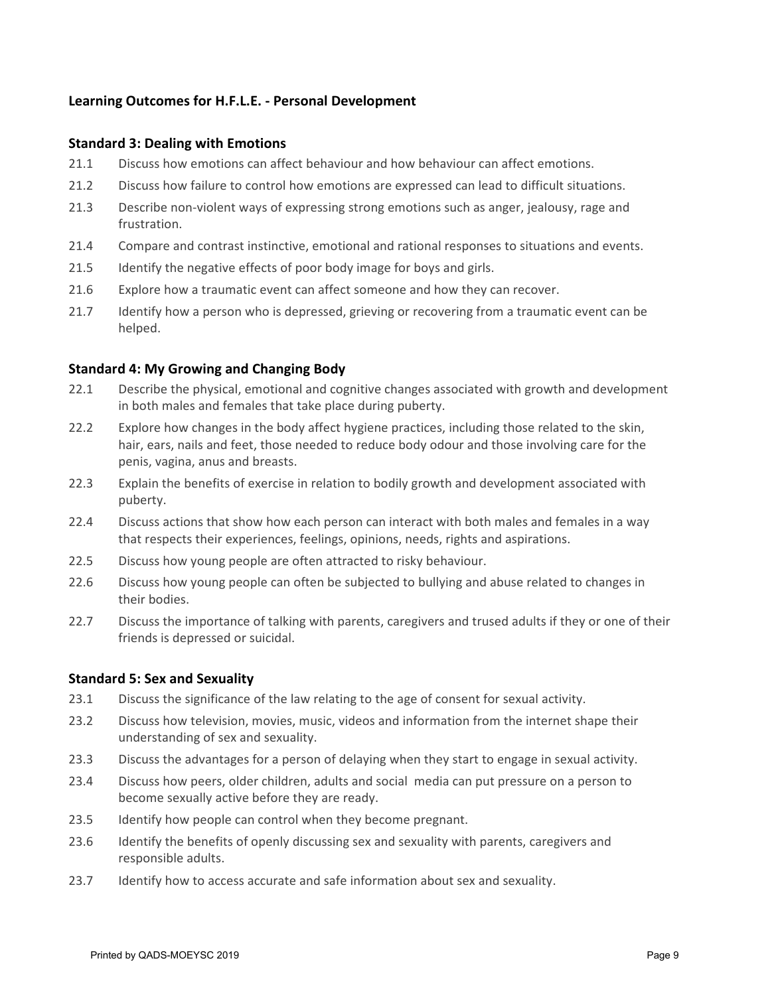## **Learning Outcomes for H.F.L.E. - Personal Development**

#### **Standard 3: Dealing with Emotions**

- 21.1 Discuss how emotions can affect behaviour and how behaviour can affect emotions.
- 21.2 Discuss how failure to control how emotions are expressed can lead to difficult situations.
- 21.3 Describe non-violent ways of expressing strong emotions such as anger, jealousy, rage and frustration.
- 21.4 Compare and contrast instinctive, emotional and rational responses to situations and events.
- 21.5 Identify the negative effects of poor body image for boys and girls.
- 21.6 Explore how a traumatic event can affect someone and how they can recover.
- 21.7 Identify how a person who is depressed, grieving or recovering from a traumatic event can be helped.

### **Standard 4: My Growing and Changing Body**

- 22.1 Describe the physical, emotional and cognitive changes associated with growth and development in both males and females that take place during puberty.
- 22.2 Explore how changes in the body affect hygiene practices, including those related to the skin, hair, ears, nails and feet, those needed to reduce body odour and those involving care for the penis, vagina, anus and breasts.
- 22.3 Explain the benefits of exercise in relation to bodily growth and development associated with puberty.
- 22.4 Discuss actions that show how each person can interact with both males and females in a way that respects their experiences, feelings, opinions, needs, rights and aspirations.
- 22.5 Discuss how young people are often attracted to risky behaviour.
- 22.6 Discuss how young people can often be subjected to bullying and abuse related to changes in their bodies.
- 22.7 Discuss the importance of talking with parents, caregivers and trused adults if they or one of their friends is depressed or suicidal.

#### **Standard 5: Sex and Sexuality**

- 23.1 Discuss the significance of the law relating to the age of consent for sexual activity.
- 23.2 Discuss how television, movies, music, videos and information from the internet shape their understanding of sex and sexuality.
- 23.3 Discuss the advantages for a person of delaying when they start to engage in sexual activity.
- 23.4 Discuss how peers, older children, adults and social media can put pressure on a person to become sexually active before they are ready.
- 23.5 Identify how people can control when they become pregnant.
- 23.6 Identify the benefits of openly discussing sex and sexuality with parents, caregivers and responsible adults.
- 23.7 Identify how to access accurate and safe information about sex and sexuality.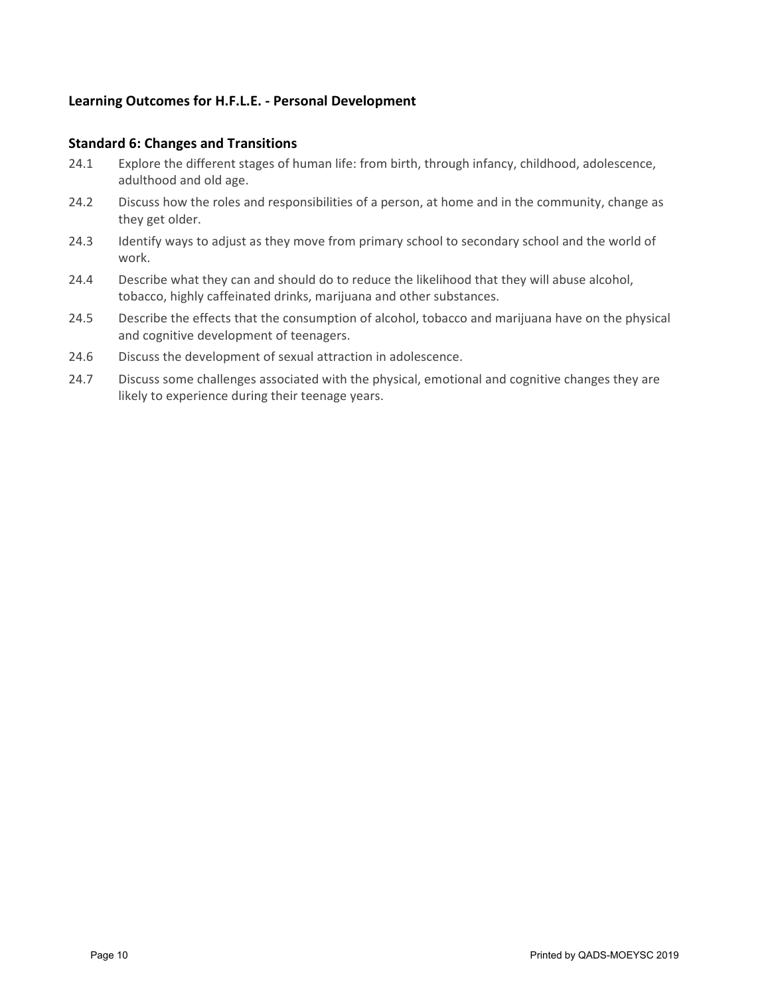# **Learning Outcomes for H.F.L.E. - Personal Development**

#### **Standard 6: Changes and Transitions**

- 24.1 Explore the different stages of human life: from birth, through infancy, childhood, adolescence, adulthood and old age.
- 24.2 Discuss how the roles and responsibilities of a person, at home and in the community, change as they get older.
- 24.3 Identify ways to adjust as they move from primary school to secondary school and the world of work.
- 24.4 Describe what they can and should do to reduce the likelihood that they will abuse alcohol, tobacco, highly caffeinated drinks, marijuana and other substances.
- 24.5 Describe the effects that the consumption of alcohol, tobacco and marijuana have on the physical and cognitive development of teenagers.
- 24.6 Discuss the development of sexual attraction in adolescence.
- 24.7 Discuss some challenges associated with the physical, emotional and cognitive changes they are likely to experience during their teenage years.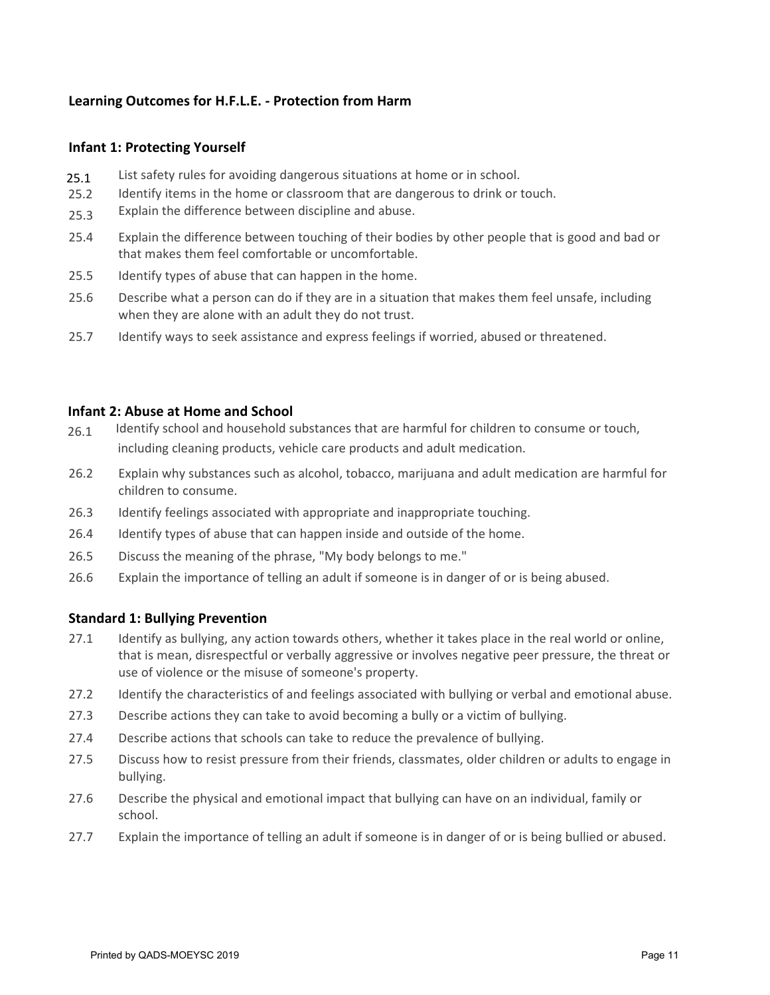# **Learning Outcomes for H.F.L.E. - Protection from Harm**

### **Infant 1: Protecting Yourself**

- List safety rules for avoiding dangerous situations at home or in school. 25.1
- 25.2 Identify items in the home or classroom that are dangerous to drink or touch.
- 25.3 Explain the difference between discipline and abuse.
- 25.4 Explain the difference between touching of their bodies by other people that is good and bad or that makes them feel comfortable or uncomfortable.
- 25.5 Identify types of abuse that can happen in the home.
- 25.6 Describe what a person can do if they are in a situation that makes them feel unsafe, including when they are alone with an adult they do not trust.
- 25.7 Identify ways to seek assistance and express feelings if worried, abused or threatened.

#### **Infant 2: Abuse at Home and School**

- 26.1 Identify school and household substances that are harmful for children to consume or touch, including cleaning products, vehicle care products and adult medication.
- 26.2 Explain why substances such as alcohol, tobacco, marijuana and adult medication are harmful for children to consume.
- 26.3 Identify feelings associated with appropriate and inappropriate touching.
- 26.4 Identify types of abuse that can happen inside and outside of the home.
- 26.5 Discuss the meaning of the phrase, "My body belongs to me."
- 26.6 Explain the importance of telling an adult if someone is in danger of or is being abused.

#### **Standard 1: Bullying Prevention**

- 27.1 Identify as bullying, any action towards others, whether it takes place in the real world or online, that is mean, disrespectful or verbally aggressive or involves negative peer pressure, the threat or use of violence or the misuse of someone's property.
- 27.2 Identify the characteristics of and feelings associated with bullying or verbal and emotional abuse.
- 27.3 Describe actions they can take to avoid becoming a bully or a victim of bullying.
- 27.4 Describe actions that schools can take to reduce the prevalence of bullying.
- 27.5 Discuss how to resist pressure from their friends, classmates, older children or adults to engage in bullying.
- 27.6 Describe the physical and emotional impact that bullying can have on an individual, family or school.
- 27.7 Explain the importance of telling an adult if someone is in danger of or is being bullied or abused.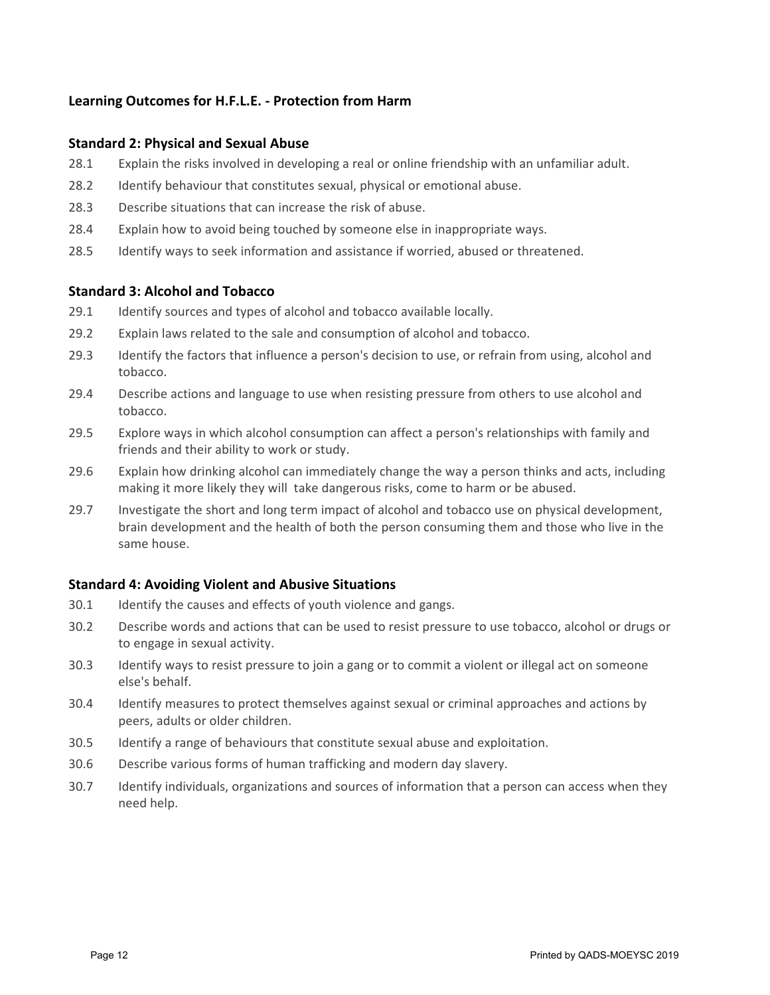# **Learning Outcomes for H.F.L.E. - Protection from Harm**

#### **Standard 2: Physical and Sexual Abuse**

- 28.1 Explain the risks involved in developing a real or online friendship with an unfamiliar adult.
- 28.2 Identify behaviour that constitutes sexual, physical or emotional abuse.
- 28.3 Describe situations that can increase the risk of abuse.
- 28.4 Explain how to avoid being touched by someone else in inappropriate ways.
- 28.5 Identify ways to seek information and assistance if worried, abused or threatened.

#### **Standard 3: Alcohol and Tobacco**

- 29.1 Identify sources and types of alcohol and tobacco available locally.
- 29.2 Explain laws related to the sale and consumption of alcohol and tobacco.
- 29.3 Identify the factors that influence a person's decision to use, or refrain from using, alcohol and tobacco.
- 29.4 Describe actions and language to use when resisting pressure from others to use alcohol and tobacco.
- 29.5 Explore ways in which alcohol consumption can affect a person's relationships with family and friends and their ability to work or study.
- 29.6 Explain how drinking alcohol can immediately change the way a person thinks and acts, including making it more likely they will take dangerous risks, come to harm or be abused.
- 29.7 Investigate the short and long term impact of alcohol and tobacco use on physical development, brain development and the health of both the person consuming them and those who live in the same house.

#### **Standard 4: Avoiding Violent and Abusive Situations**

- 30.1 Identify the causes and effects of youth violence and gangs.
- 30.2 Describe words and actions that can be used to resist pressure to use tobacco, alcohol or drugs or to engage in sexual activity.
- 30.3 Identify ways to resist pressure to join a gang or to commit a violent or illegal act on someone else's behalf.
- 30.4 Identify measures to protect themselves against sexual or criminal approaches and actions by peers, adults or older children.
- 30.5 Identify a range of behaviours that constitute sexual abuse and exploitation.
- 30.6 Describe various forms of human trafficking and modern day slavery.
- 30.7 Identify individuals, organizations and sources of information that a person can access when they need help.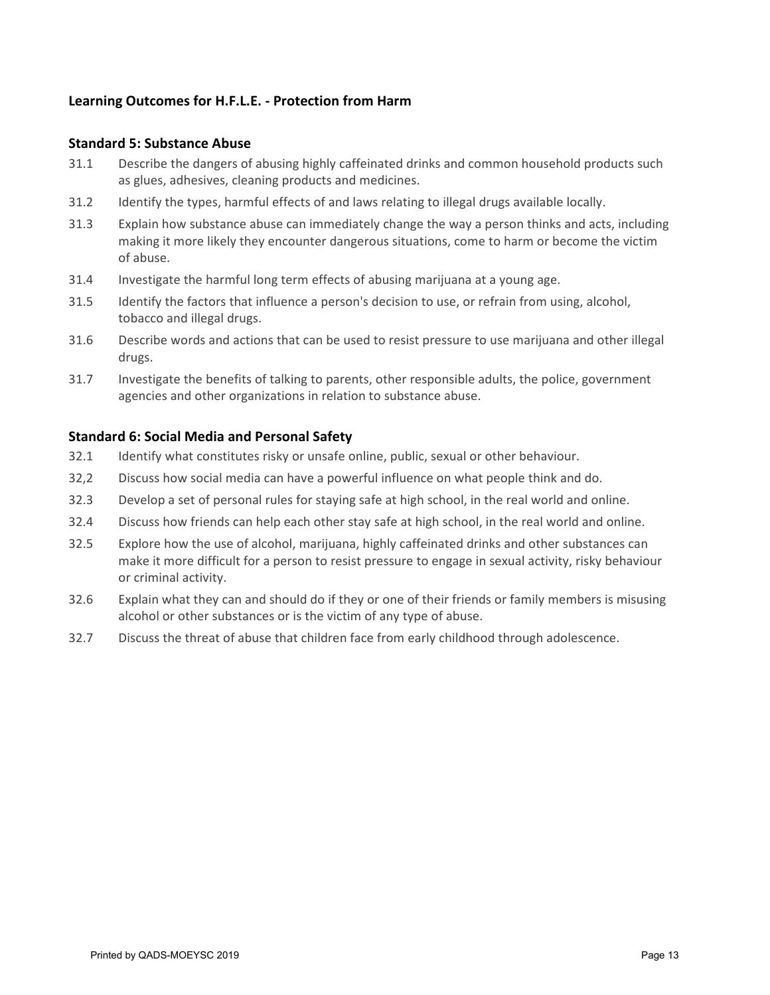# **Learning Outcomes for H.F.L.E. - Protection from Harm**

#### **Standard 5: Substance Abuse**

- 31.1 Describe the dangers of abusing highly caffeinated drinks and common household products such as glues, adhesives, cleaning products and medicines.
- 31.2 Identify the types, harmful effects of and laws relating to illegal drugs available locally.
- 31.3 Explain how substance abuse can immediately change the way a person thinks and acts, including making it more likely they encounter dangerous situations, come to harm or become the victim of abuse.
- 31.4 Investigate the harmful long term effects of abusing marijuana at a young age.
- 31.5 Identify the factors that influence a person's decision to use, or refrain from using, alcohol, tobacco and illegal drugs.
- 31.6 Describe words and actions that can be used to resist pressure to use marijuana and other illegal drugs.
- 31.7 Investigate the benefits of talking to parents, other responsible adults, the police, government agencies and other organizations in relation to substance abuse.

#### **Standard 6: Social Media and Personal Safety**

- 32.1 Identify what constitutes risky or unsafe online, public, sexual or other behaviour.
- 32,2 Discuss how social media can have a powerful influence on what people think and do.
- 32.3 Develop a set of personal rules for staying safe at high school, in the real world and online.
- 32.4 Discuss how friends can help each other stay safe at high school, in the real world and online.
- 32.5 Explore how the use of alcohol, marijuana, highly caffeinated drinks and other substances can make it more difficult for a person to resist pressure to engage in sexual activity, risky behaviour or criminal activity.
- 32.6 Explain what they can and should do if they or one of their friends or family members is misusing alcohol or other substances or is the victim of any type of abuse.
- 32.7 Discuss the threat of abuse that children face from early childhood through adolescence.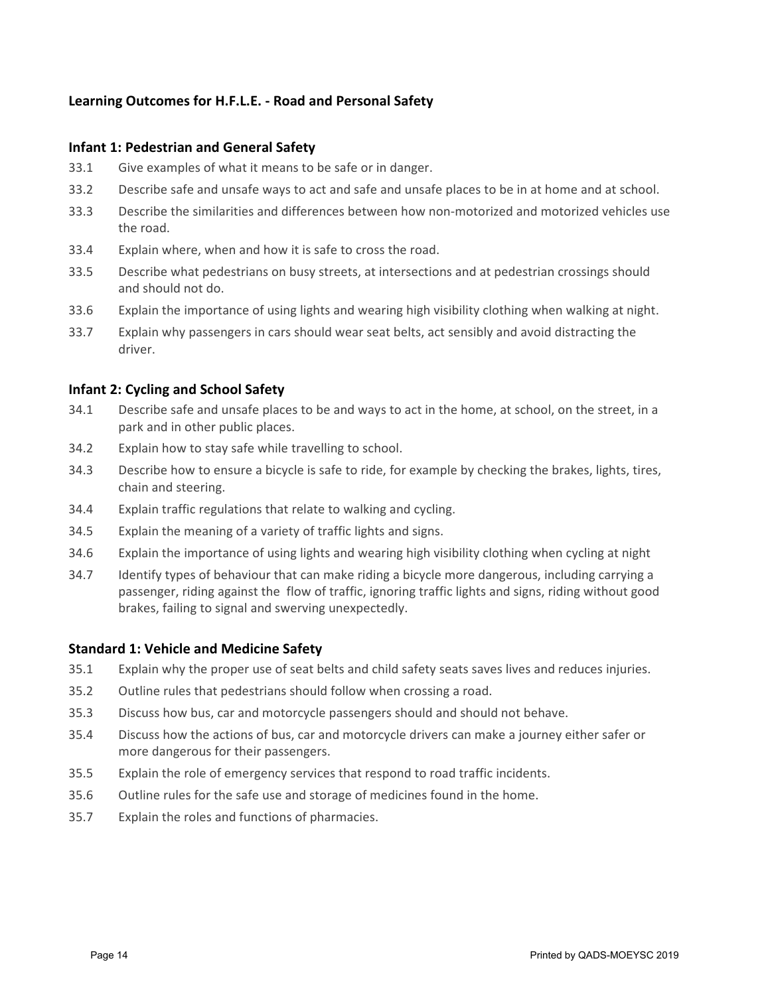#### **Infant 1: Pedestrian and General Safety**

- 33.1 Give examples of what it means to be safe or in danger.
- 33.2 Describe safe and unsafe ways to act and safe and unsafe places to be in at home and at school.
- 33.3 Describe the similarities and differences between how non-motorized and motorized vehicles use the road.
- 33.4 Explain where, when and how it is safe to cross the road.
- 33.5 Describe what pedestrians on busy streets, at intersections and at pedestrian crossings should and should not do.
- 33.6 Explain the importance of using lights and wearing high visibility clothing when walking at night.
- 33.7 Explain why passengers in cars should wear seat belts, act sensibly and avoid distracting the driver.

### **Infant 2: Cycling and School Safety**

- 34.1 Describe safe and unsafe places to be and ways to act in the home, at school, on the street, in a park and in other public places.
- 34.2 Explain how to stay safe while travelling to school.
- 34.3 Describe how to ensure a bicycle is safe to ride, for example by checking the brakes, lights, tires, chain and steering.
- 34.4 Explain traffic regulations that relate to walking and cycling.
- 34.5 Explain the meaning of a variety of traffic lights and signs.
- 34.6 Explain the importance of using lights and wearing high visibility clothing when cycling at night
- 34.7 Identify types of behaviour that can make riding a bicycle more dangerous, including carrying a passenger, riding against the flow of traffic, ignoring traffic lights and signs, riding without good brakes, failing to signal and swerving unexpectedly.

#### **Standard 1: Vehicle and Medicine Safety**

- 35.1 Explain why the proper use of seat belts and child safety seats saves lives and reduces injuries.
- 35.2 Outline rules that pedestrians should follow when crossing a road.
- 35.3 Discuss how bus, car and motorcycle passengers should and should not behave.
- 35.4 Discuss how the actions of bus, car and motorcycle drivers can make a journey either safer or more dangerous for their passengers.
- 35.5 Explain the role of emergency services that respond to road traffic incidents.
- 35.6 Outline rules for the safe use and storage of medicines found in the home.
- 35.7 Explain the roles and functions of pharmacies.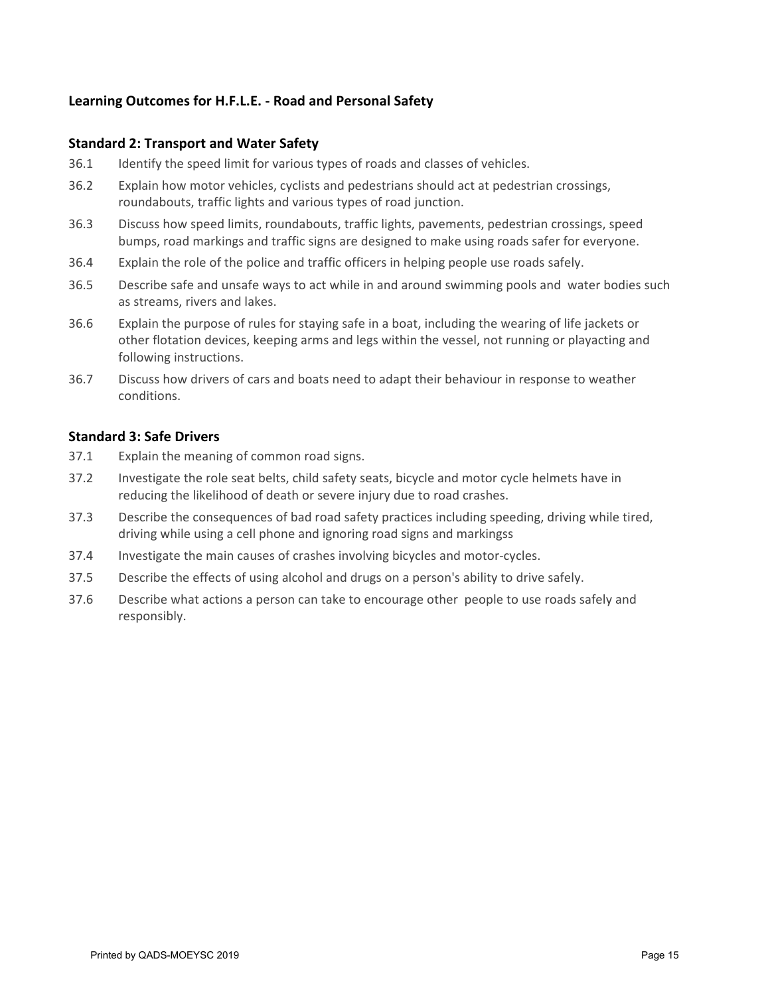### **Standard 2: Transport and Water Safety**

- 36.1 Identify the speed limit for various types of roads and classes of vehicles.
- 36.2 Explain how motor vehicles, cyclists and pedestrians should act at pedestrian crossings, roundabouts, traffic lights and various types of road junction.
- 36.3 Discuss how speed limits, roundabouts, traffic lights, pavements, pedestrian crossings, speed bumps, road markings and traffic signs are designed to make using roads safer for everyone.
- 36.4 Explain the role of the police and traffic officers in helping people use roads safely.
- 36.5 Describe safe and unsafe ways to act while in and around swimming pools and water bodies such as streams, rivers and lakes.
- 36.6 Explain the purpose of rules for staying safe in a boat, including the wearing of life jackets or other flotation devices, keeping arms and legs within the vessel, not running or playacting and following instructions.
- 36.7 Discuss how drivers of cars and boats need to adapt their behaviour in response to weather conditions.

#### **Standard 3: Safe Drivers**

- 37.1 Explain the meaning of common road signs.
- 37.2 Investigate the role seat belts, child safety seats, bicycle and motor cycle helmets have in reducing the likelihood of death or severe injury due to road crashes.
- 37.3 Describe the consequences of bad road safety practices including speeding, driving while tired, driving while using a cell phone and ignoring road signs and markingss
- 37.4 Investigate the main causes of crashes involving bicycles and motor-cycles.
- 37.5 Describe the effects of using alcohol and drugs on a person's ability to drive safely.
- 37.6 Describe what actions a person can take to encourage other people to use roads safely and responsibly.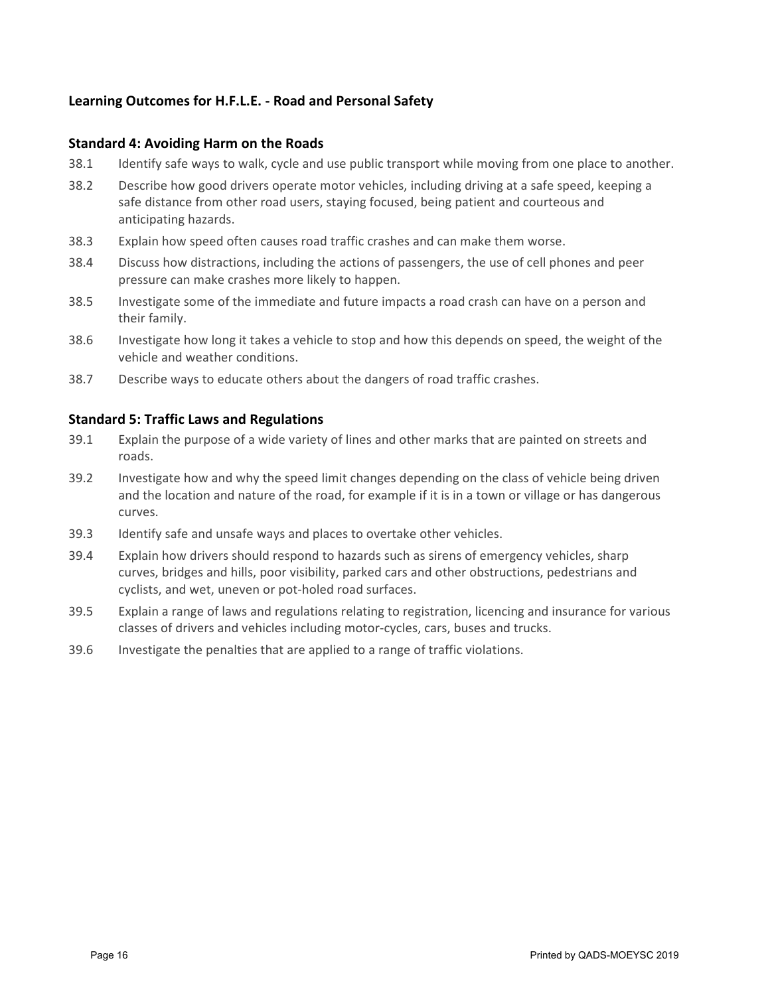### **Standard 4: Avoiding Harm on the Roads**

- 38.1 Identify safe ways to walk, cycle and use public transport while moving from one place to another.
- 38.2 Describe how good drivers operate motor vehicles, including driving at a safe speed, keeping a safe distance from other road users, staying focused, being patient and courteous and anticipating hazards.
- 38.3 Explain how speed often causes road traffic crashes and can make them worse.
- 38.4 Discuss how distractions, including the actions of passengers, the use of cell phones and peer pressure can make crashes more likely to happen.
- 38.5 Investigate some of the immediate and future impacts a road crash can have on a person and their family.
- 38.6 Investigate how long it takes a vehicle to stop and how this depends on speed, the weight of the vehicle and weather conditions.
- 38.7 Describe ways to educate others about the dangers of road traffic crashes.

#### **Standard 5: Traffic Laws and Regulations**

- 39.1 Explain the purpose of a wide variety of lines and other marks that are painted on streets and roads.
- 39.2 Investigate how and why the speed limit changes depending on the class of vehicle being driven and the location and nature of the road, for example if it is in a town or village or has dangerous curves.
- 39.3 Identify safe and unsafe ways and places to overtake other vehicles.
- 39.4 Explain how drivers should respond to hazards such as sirens of emergency vehicles, sharp curves, bridges and hills, poor visibility, parked cars and other obstructions, pedestrians and cyclists, and wet, uneven or pot-holed road surfaces.
- 39.5 Explain a range of laws and regulations relating to registration, licencing and insurance for various classes of drivers and vehicles including motor-cycles, cars, buses and trucks.
- 39.6 Investigate the penalties that are applied to a range of traffic violations.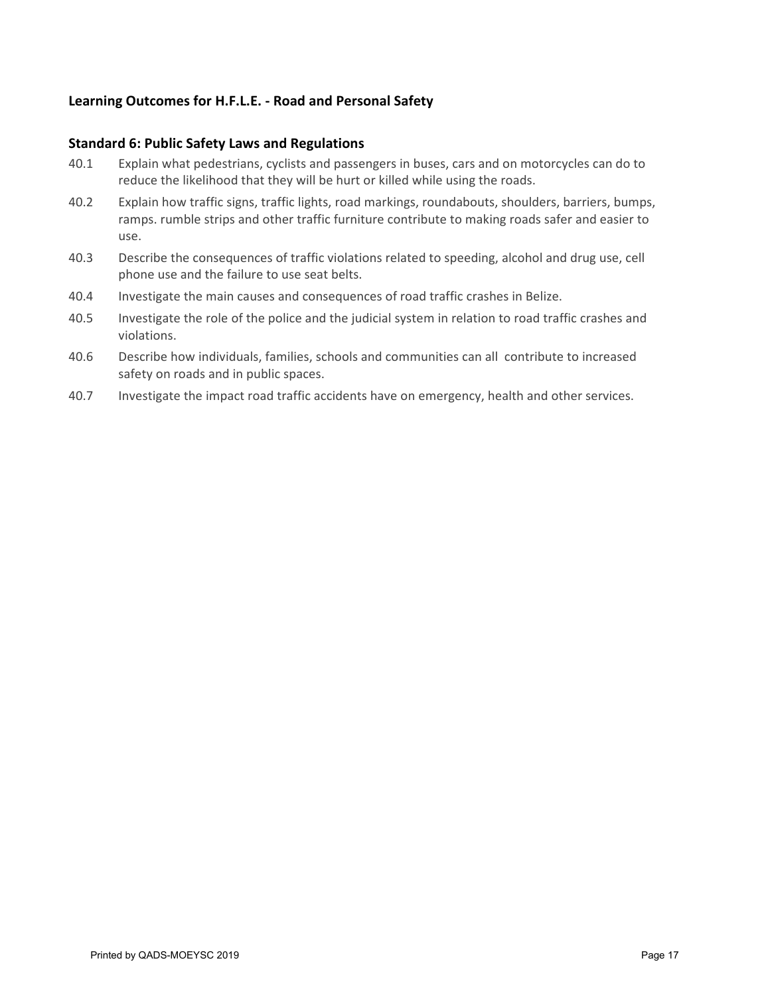### **Standard 6: Public Safety Laws and Regulations**

- 40.1 Explain what pedestrians, cyclists and passengers in buses, cars and on motorcycles can do to reduce the likelihood that they will be hurt or killed while using the roads.
- 40.2 Explain how traffic signs, traffic lights, road markings, roundabouts, shoulders, barriers, bumps, ramps. rumble strips and other traffic furniture contribute to making roads safer and easier to use.
- 40.3 Describe the consequences of traffic violations related to speeding, alcohol and drug use, cell phone use and the failure to use seat belts.
- 40.4 Investigate the main causes and consequences of road traffic crashes in Belize.
- 40.5 Investigate the role of the police and the judicial system in relation to road traffic crashes and violations.
- 40.6 Describe how individuals, families, schools and communities can all contribute to increased safety on roads and in public spaces.
- 40.7 Investigate the impact road traffic accidents have on emergency, health and other services.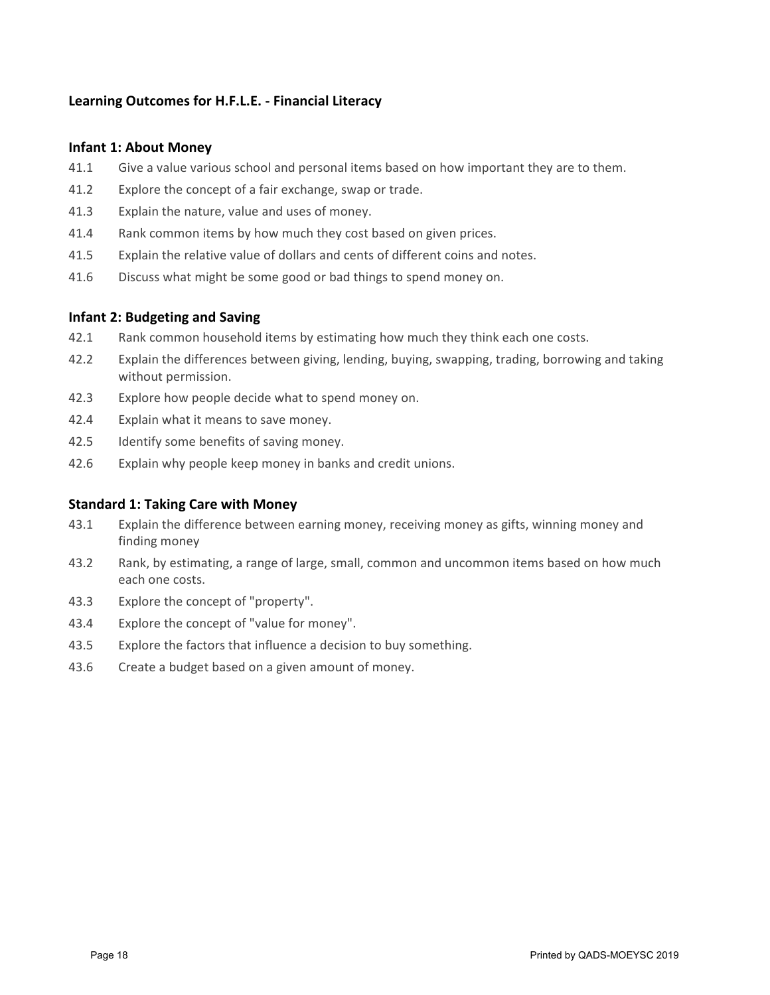# **Learning Outcomes for H.F.L.E. - Financial Literacy**

#### **Infant 1: About Money**

- 41.1 Give a value various school and personal items based on how important they are to them.
- 41.2 Explore the concept of a fair exchange, swap or trade.
- 41.3 Explain the nature, value and uses of money.
- 41.4 Rank common items by how much they cost based on given prices.
- 41.5 Explain the relative value of dollars and cents of different coins and notes.
- 41.6 Discuss what might be some good or bad things to spend money on.

#### **Infant 2: Budgeting and Saving**

- 42.1 Rank common household items by estimating how much they think each one costs.
- 42.2 Explain the differences between giving, lending, buying, swapping, trading, borrowing and taking without permission.
- 42.3 Explore how people decide what to spend money on.
- 42.4 Explain what it means to save money.
- 42.5 Identify some benefits of saving money.
- 42.6 Explain why people keep money in banks and credit unions.

#### **Standard 1: Taking Care with Money**

- 43.1 Explain the difference between earning money, receiving money as gifts, winning money and finding money
- 43.2 Rank, by estimating, a range of large, small, common and uncommon items based on how much each one costs.
- 43.3 Explore the concept of "property".
- 43.4 Explore the concept of "value for money".
- 43.5 Explore the factors that influence a decision to buy something.
- 43.6 Create a budget based on a given amount of money.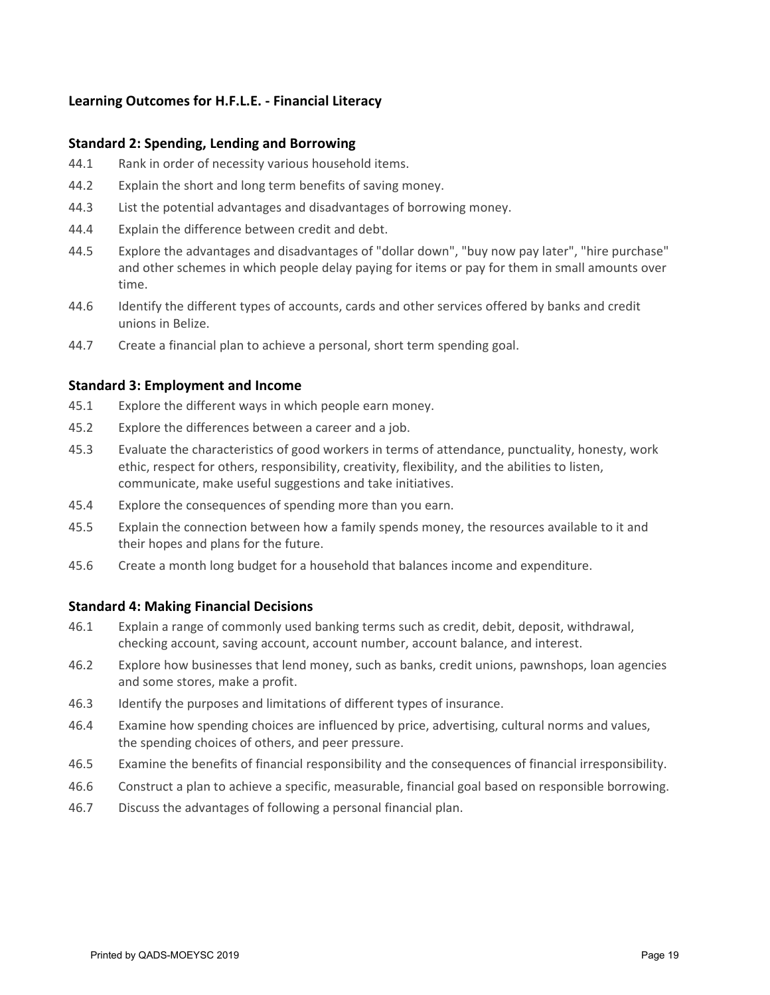## **Learning Outcomes for H.F.L.E. - Financial Literacy**

#### **Standard 2: Spending, Lending and Borrowing**

- 44.1 Rank in order of necessity various household items.
- 44.2 Explain the short and long term benefits of saving money.
- 44.3 List the potential advantages and disadvantages of borrowing money.
- 44.4 Explain the difference between credit and debt.
- 44.5 Explore the advantages and disadvantages of "dollar down", "buy now pay later", "hire purchase" and other schemes in which people delay paying for items or pay for them in small amounts over time.
- 44.6 Identify the different types of accounts, cards and other services offered by banks and credit unions in Belize.
- 44.7 Create a financial plan to achieve a personal, short term spending goal.

#### **Standard 3: Employment and Income**

- 45.1 Explore the different ways in which people earn money.
- 45.2 Explore the differences between a career and a job.
- 45.3 Evaluate the characteristics of good workers in terms of attendance, punctuality, honesty, work ethic, respect for others, responsibility, creativity, flexibility, and the abilities to listen, communicate, make useful suggestions and take initiatives.
- 45.4 Explore the consequences of spending more than you earn.
- 45.5 Explain the connection between how a family spends money, the resources available to it and their hopes and plans for the future.
- 45.6 Create a month long budget for a household that balances income and expenditure.

#### **Standard 4: Making Financial Decisions**

- 46.1 Explain a range of commonly used banking terms such as credit, debit, deposit, withdrawal, checking account, saving account, account number, account balance, and interest.
- 46.2 Explore how businesses that lend money, such as banks, credit unions, pawnshops, loan agencies and some stores, make a profit.
- 46.3 Identify the purposes and limitations of different types of insurance.
- 46.4 Examine how spending choices are influenced by price, advertising, cultural norms and values, the spending choices of others, and peer pressure.
- 46.5 Examine the benefits of financial responsibility and the consequences of financial irresponsibility.
- 46.6 Construct a plan to achieve a specific, measurable, financial goal based on responsible borrowing.
- 46.7 Discuss the advantages of following a personal financial plan.